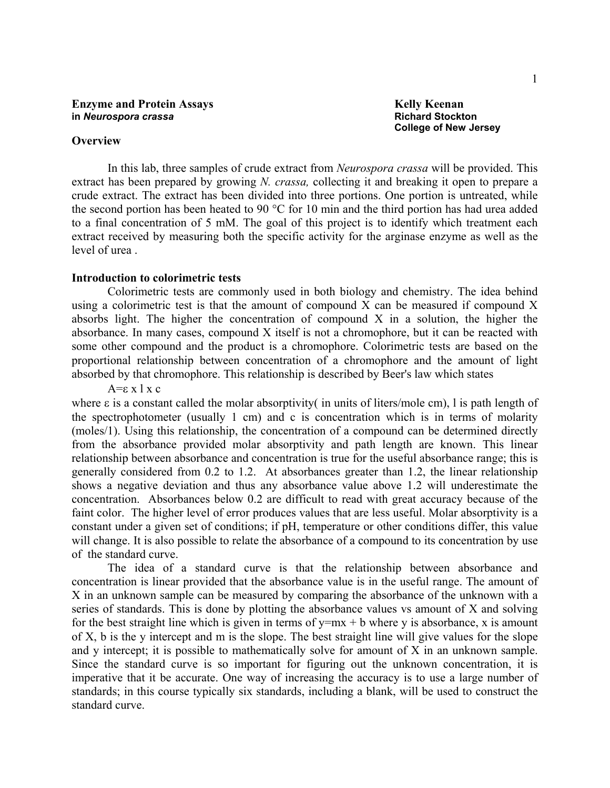**College of New Jersey** 

#### **Overview**

 In this lab, three samples of crude extract from *Neurospora crassa* will be provided. This extract has been prepared by growing *N. crassa,* collecting it and breaking it open to prepare a crude extract. The extract has been divided into three portions. One portion is untreated, while the second portion has been heated to 90 °C for 10 min and the third portion has had urea added to a final concentration of 5 mM. The goal of this project is to identify which treatment each extract received by measuring both the specific activity for the arginase enzyme as well as the level of urea .

#### **Introduction to colorimetric tests**

Colorimetric tests are commonly used in both biology and chemistry. The idea behind using a colorimetric test is that the amount of compound X can be measured if compound X absorbs light. The higher the concentration of compound X in a solution, the higher the absorbance. In many cases, compound X itself is not a chromophore, but it can be reacted with some other compound and the product is a chromophore. Colorimetric tests are based on the proportional relationship between concentration of a chromophore and the amount of light absorbed by that chromophore. This relationship is described by Beer's law which states

A=ε x l x c

where  $\varepsilon$  is a constant called the molar absorptivity in units of liters/mole cm), l is path length of the spectrophotometer (usually 1 cm) and c is concentration which is in terms of molarity (moles/1). Using this relationship, the concentration of a compound can be determined directly from the absorbance provided molar absorptivity and path length are known. This linear relationship between absorbance and concentration is true for the useful absorbance range; this is generally considered from 0.2 to 1.2. At absorbances greater than 1.2, the linear relationship shows a negative deviation and thus any absorbance value above 1.2 will underestimate the concentration. Absorbances below 0.2 are difficult to read with great accuracy because of the faint color. The higher level of error produces values that are less useful. Molar absorptivity is a constant under a given set of conditions; if pH, temperature or other conditions differ, this value will change. It is also possible to relate the absorbance of a compound to its concentration by use of the standard curve.

 The idea of a standard curve is that the relationship between absorbance and concentration is linear provided that the absorbance value is in the useful range. The amount of X in an unknown sample can be measured by comparing the absorbance of the unknown with a series of standards. This is done by plotting the absorbance values vs amount of X and solving for the best straight line which is given in terms of  $y=mx + b$  where y is absorbance, x is amount of X, b is the y intercept and m is the slope. The best straight line will give values for the slope and y intercept; it is possible to mathematically solve for amount of X in an unknown sample. Since the standard curve is so important for figuring out the unknown concentration, it is imperative that it be accurate. One way of increasing the accuracy is to use a large number of standards; in this course typically six standards, including a blank, will be used to construct the standard curve.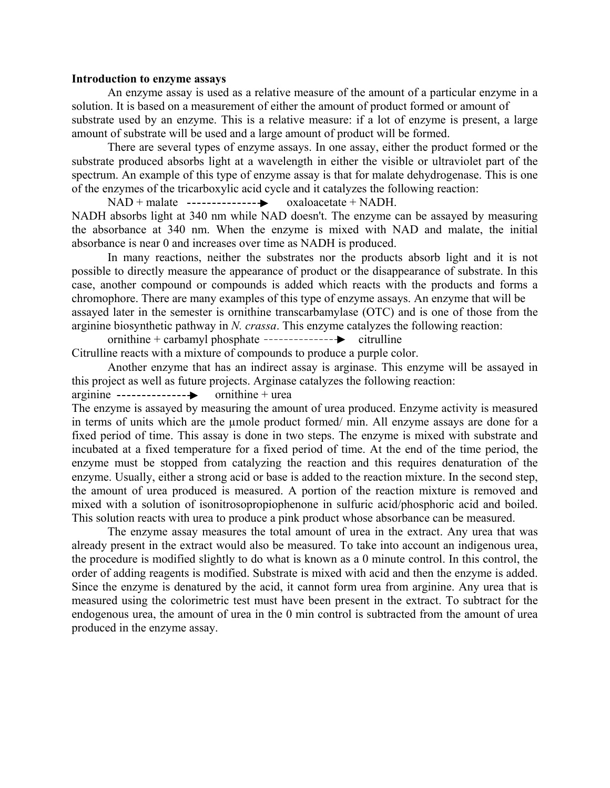#### **Introduction to enzyme assays**

An enzyme assay is used as a relative measure of the amount of a particular enzyme in a solution. It is based on a measurement of either the amount of product formed or amount of substrate used by an enzyme. This is a relative measure: if a lot of enzyme is present, a large

amount of substrate will be used and a large amount of product will be formed.

There are several types of enzyme assays. In one assay, either the product formed or the substrate produced absorbs light at a wavelength in either the visible or ultraviolet part of the spectrum. An example of this type of enzyme assay is that for malate dehydrogenase. This is one of the enzymes of the tricarboxylic acid cycle and it catalyzes the following reaction:

 $NAD + \text{mulate}$  --------------- $\rightarrow$  oxaloacetate + NADH.

NADH absorbs light at 340 nm while NAD doesn't. The enzyme can be assayed by measuring the absorbance at 340 nm. When the enzyme is mixed with NAD and malate, the initial absorbance is near 0 and increases over time as NADH is produced.

In many reactions, neither the substrates nor the products absorb light and it is not possible to directly measure the appearance of product or the disappearance of substrate. In this case, another compound or compounds is added which reacts with the products and forms a chromophore. There are many examples of this type of enzyme assays. An enzyme that will be assayed later in the semester is ornithine transcarbamylase (OTC) and is one of those from the arginine biosynthetic pathway in *N. crassa*. This enzyme catalyzes the following reaction:

ornithine + carbamyl phosphate  $\cdots$ ------------ $\rightarrow$  citrulline Citrulline reacts with a mixture of compounds to produce a purple color.

Another enzyme that has an indirect assay is arginase. This enzyme will be assayed in this project as well as future projects. Arginase catalyzes the following reaction:

arginine ornithine + urea

The enzyme is assayed by measuring the amount of urea produced. Enzyme activity is measured in terms of units which are the µmole product formed/ min. All enzyme assays are done for a fixed period of time. This assay is done in two steps. The enzyme is mixed with substrate and incubated at a fixed temperature for a fixed period of time. At the end of the time period, the enzyme must be stopped from catalyzing the reaction and this requires denaturation of the enzyme. Usually, either a strong acid or base is added to the reaction mixture. In the second step, the amount of urea produced is measured. A portion of the reaction mixture is removed and mixed with a solution of isonitrosopropiophenone in sulfuric acid/phosphoric acid and boiled. This solution reacts with urea to produce a pink product whose absorbance can be measured.

The enzyme assay measures the total amount of urea in the extract. Any urea that was already present in the extract would also be measured. To take into account an indigenous urea, the procedure is modified slightly to do what is known as a 0 minute control. In this control, the order of adding reagents is modified. Substrate is mixed with acid and then the enzyme is added. Since the enzyme is denatured by the acid, it cannot form urea from arginine. Any urea that is measured using the colorimetric test must have been present in the extract. To subtract for the endogenous urea, the amount of urea in the 0 min control is subtracted from the amount of urea produced in the enzyme assay.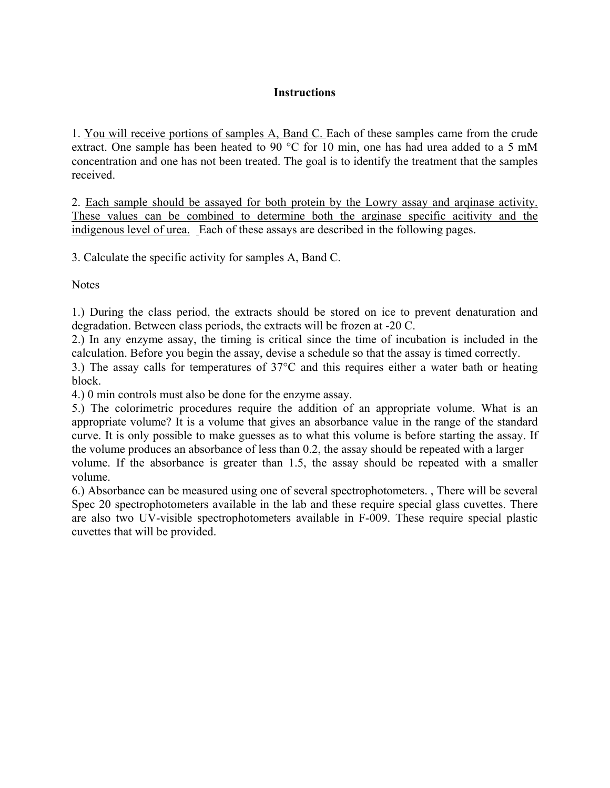## **Instructions**

1. You will receive portions of samples A, Band C. Each of these samples came from the crude extract. One sample has been heated to 90 °C for 10 min, one has had urea added to a 5 mM concentration and one has not been treated. The goal is to identify the treatment that the samples received.

2. Each sample should be assayed for both protein by the Lowry assay and arqinase activity. These values can be combined to determine both the arginase specific acitivity and the indigenous level of urea. Each of these assays are described in the following pages.

3. Calculate the specific activity for samples A, Band C.

**Notes** 

1.) During the class period, the extracts should be stored on ice to prevent denaturation and degradation. Between class periods, the extracts will be frozen at -20 C.

2.) In any enzyme assay, the timing is critical since the time of incubation is included in the calculation. Before you begin the assay, devise a schedule so that the assay is timed correctly.

3.) The assay calls for temperatures of 37°C and this requires either a water bath or heating block.

4.) 0 min controls must also be done for the enzyme assay.

5.) The colorimetric procedures require the addition of an appropriate volume. What is an appropriate volume? It is a volume that gives an absorbance value in the range of the standard curve. It is only possible to make guesses as to what this volume is before starting the assay. If the volume produces an absorbance of less than 0.2, the assay should be repeated with a larger volume. If the absorbance is greater than 1.5, the assay should be repeated with a smaller volume.

6.) Absorbance can be measured using one of several spectrophotometers. , There will be several Spec 20 spectrophotometers available in the lab and these require special glass cuvettes. There are also two UV-visible spectrophotometers available in F-009. These require special plastic cuvettes that will be provided.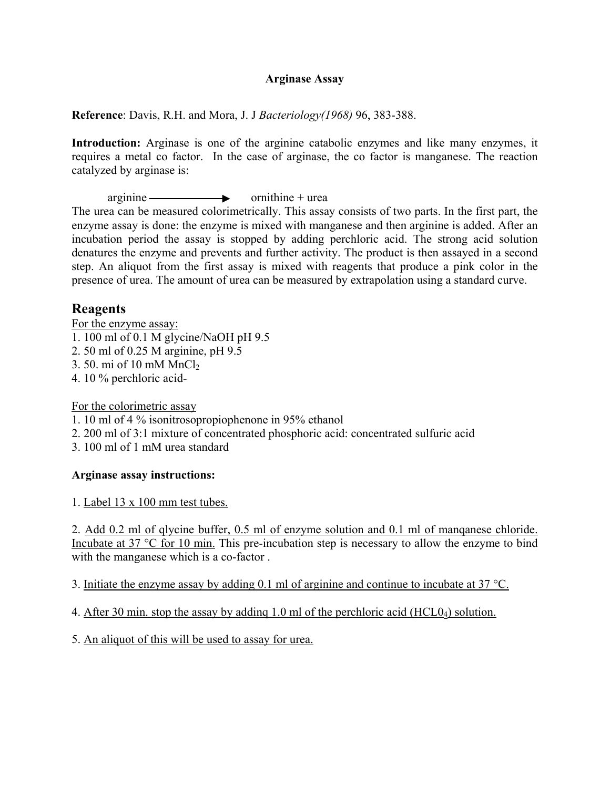#### **Arginase Assay**

**Reference**: Davis, R.H. and Mora, J. J *Bacteriology(1968)* 96, 383-388.

**Introduction:** Arginase is one of the arginine catabolic enzymes and like many enzymes, it requires a metal co factor. In the case of arginase, the co factor is manganese. The reaction catalyzed by arginase is:

 $arginine \longrightarrow \text{ornithine} + area$ 

The urea can be measured colorimetrically. This assay consists of two parts. In the first part, the enzyme assay is done: the enzyme is mixed with manganese and then arginine is added. After an incubation period the assay is stopped by adding perchloric acid. The strong acid solution denatures the enzyme and prevents and further activity. The product is then assayed in a second step. An aliquot from the first assay is mixed with reagents that produce a pink color in the presence of urea. The amount of urea can be measured by extrapolation using a standard curve.

# **Reagents**

For the enzyme assay:

- 1. 100 ml of 0.1 M glycine/NaOH pH 9.5
- 2. 50 ml of 0.25 M arginine, pH 9.5
- 3. 50. mi of 10 mM  $MnCl<sub>2</sub>$
- 4. 10 % perchloric acid-

For the colorimetric assay

1. 10 ml of 4 % isonitrosopropiophenone in 95% ethanol

- 2. 200 ml of 3:1 mixture of concentrated phosphoric acid: concentrated sulfuric acid
- 3. 100 ml of 1 mM urea standard

## **Arginase assay instructions:**

1. Label 13 x 100 mm test tubes.

2. Add 0.2 ml of qlycine buffer, 0.5 ml of enzyme solution and 0.1 ml of manqanese chloride. Incubate at 37 °C for 10 min. This pre-incubation step is necessary to allow the enzyme to bind with the manganese which is a co-factor.

3. Initiate the enzyme assay by adding 0.1 ml of arginine and continue to incubate at 37 °C.

4. After 30 min. stop the assay by addinq 1.0 ml of the perchloric acid (HCL04) solution.

5. An aliquot of this will be used to assay for urea.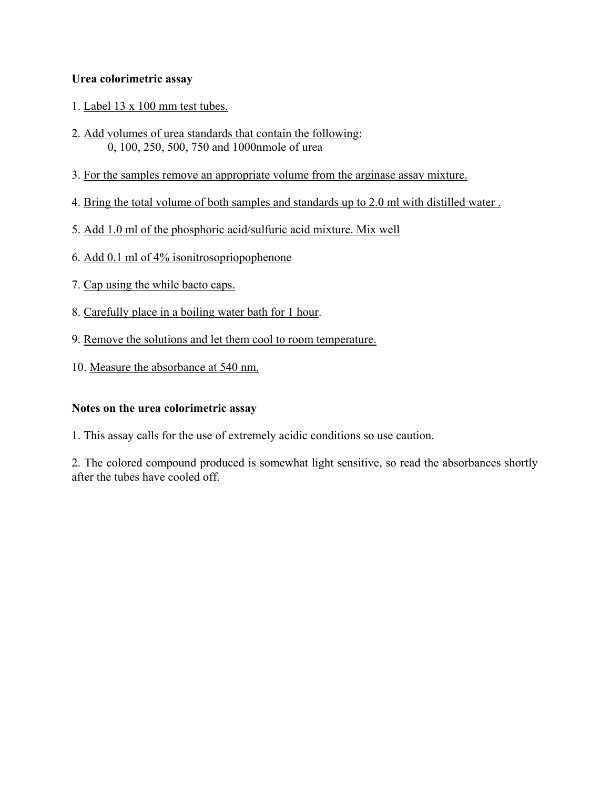## **Urea colorimetric assay**

- 1. Label 13 x 100 mm test tubes.
- 2. Add volumes of urea standards that contain the following: 0, 100, 250, 500, 750 and 1000nmole of urea
- 3. For the samples remove an appropriate volume from the arginase assay mixture.
- 4. Bring the total volume of both samples and standards up to 2.0 ml with distilled water .
- 5. Add 1.0 ml of the phosphoric acid/sulfuric acid mixture. Mix well
- 6. Add 0.1 ml of 4% isonitrosopriopophenone
- 7. Cap using the while bacto caps.
- 8. Carefully place in a boiling water bath for 1 hour.
- 9. Remove the solutions and let them cool to room temperature.
- 10. Measure the absorbance at 540 nm.

## **Notes on the urea colorimetric assay**

1. This assay calls for the use of extremely acidic conditions so use caution.

2. The colored compound produced is somewhat light sensitive, so read the absorbances shortly after the tubes have cooled off.